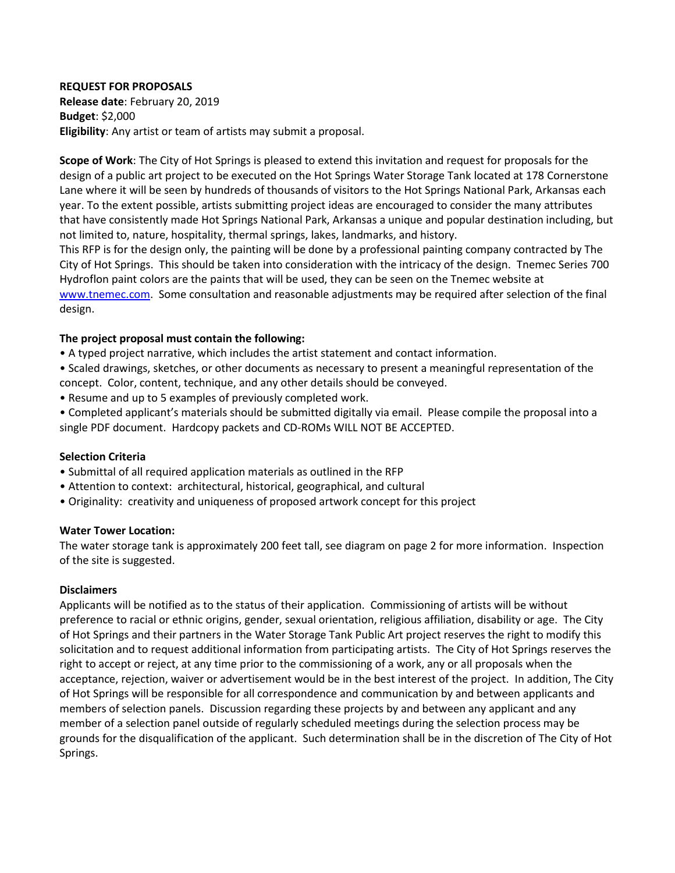## **REQUEST FOR PROPOSALS**

**Release date**: February 20, 2019 **Budget**: \$2,000 **Eligibility**: Any artist or team of artists may submit a proposal.

**Scope of Work**: The City of Hot Springs is pleased to extend this invitation and request for proposals for the design of a public art project to be executed on the Hot Springs Water Storage Tank located at 178 Cornerstone Lane where it will be seen by hundreds of thousands of visitors to the Hot Springs National Park, Arkansas each year. To the extent possible, artists submitting project ideas are encouraged to consider the many attributes that have consistently made Hot Springs National Park, Arkansas a unique and popular destination including, but not limited to, nature, hospitality, thermal springs, lakes, landmarks, and history.

This RFP is for the design only, the painting will be done by a professional painting company contracted by The City of Hot Springs. This should be taken into consideration with the intricacy of the design. Tnemec Series 700 Hydroflon paint colors are the paints that will be used, they can be seen on the Tnemec website at [www.tnemec.com.](http://www.tnemec.com/product/view/Series-700-HydroFlon) Some consultation and reasonable adjustments may be required after selection of the final design.

## **The project proposal must contain the following:**

- A typed project narrative, which includes the artist statement and contact information.
- Scaled drawings, sketches, or other documents as necessary to present a meaningful representation of the concept. Color, content, technique, and any other details should be conveyed.
- Resume and up to 5 examples of previously completed work.
- Completed applicant's materials should be submitted digitally via email. Please compile the proposal into a single PDF document. Hardcopy packets and CD-ROMs WILL NOT BE ACCEPTED.

## **Selection Criteria**

- Submittal of all required application materials as outlined in the RFP
- Attention to context: architectural, historical, geographical, and cultural
- Originality: creativity and uniqueness of proposed artwork concept for this project

## **Water Tower Location:**

The water storage tank is approximately 200 feet tall, see diagram on page 2 for more information. Inspection of the site is suggested.

## **Disclaimers**

Applicants will be notified as to the status of their application. Commissioning of artists will be without preference to racial or ethnic origins, gender, sexual orientation, religious affiliation, disability or age. The City of Hot Springs and their partners in the Water Storage Tank Public Art project reserves the right to modify this solicitation and to request additional information from participating artists. The City of Hot Springs reserves the right to accept or reject, at any time prior to the commissioning of a work, any or all proposals when the acceptance, rejection, waiver or advertisement would be in the best interest of the project. In addition, The City of Hot Springs will be responsible for all correspondence and communication by and between applicants and members of selection panels. Discussion regarding these projects by and between any applicant and any member of a selection panel outside of regularly scheduled meetings during the selection process may be grounds for the disqualification of the applicant. Such determination shall be in the discretion of The City of Hot Springs.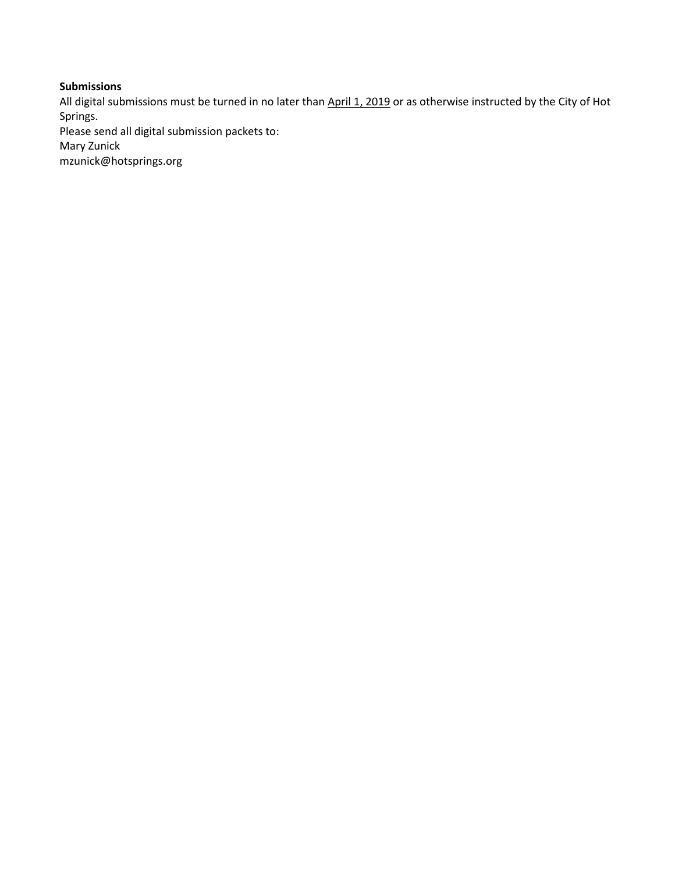# **Submissions**

All digital submissions must be turned in no later than April 1, 2019 or as otherwise instructed by the City of Hot Springs. Please send all digital submission packets to: Mary Zunick

mzunick@hotsprings.org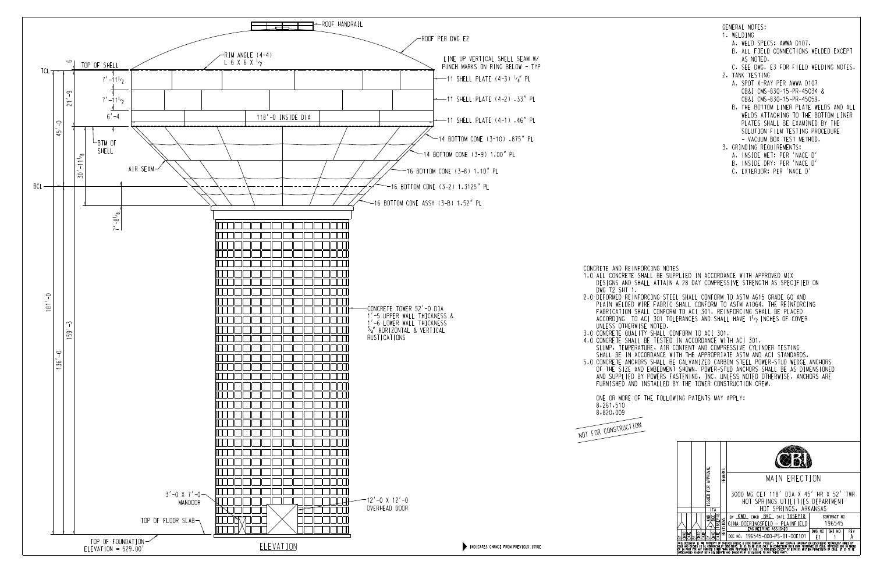ONE OR MORE OF THE FOLLOWING PATENTS MAY APPLY:

 FURNISHED AND INSTALLED BY THE TOWER CONSTRUCTION CREW. AND SUPPLIED BY POWERS FASTENING, INC. UNLESS NOTED OTHERWISE. ANCHORS ARE

 OF THE SIZE AND EMBEDMENT SHOWN. POWER-STUD ANCHORS SHALL BE AS DIMENSIONED 5.0 CONCRETE ANCHORS SHALL BE GALVANIZED CARBON STEEL POWER-STUD WEDGE ANCHORS SHALL BE IN ACCORDANCE WITH THE APPROPRIATE ASTM AND ACI STANDARDS. SLUMP, TEMPERATURE, AIR CONTENT AND COMPRESSIVE CYLINDER TESTING 4.0 CONCRETE SHALL BE TESTED IN ACCORDANCE WITH ACI 301. 3.0 CONCRETE QUALITY SHALL CONFORM TO ACI 301. ACCORDING TO ACI 301 TOLERANCES AND SHALL HAVE 1<sup>1</sup>/<sub>2</sub> INCHES OF COVER FABRICATION SHALL CONFORM TO ACI 301. REINFORCING SHALL BE PLACED PLAIN WELDED WIRE FABRIC SHALL CONFORM TO ASTM A1064. THE REINFORCING 2.0 DEFORMED REINFORCING STEEL SHALL CONFORM TO ASTM A615 GRADE 60 AND DESIGNS AND SHALL ATTAIN A 28 DAY COMPRESSIVE STRENGTH AS SPECIFIED ON 1.0 ALL CONCRETE SHALL BE SUPPLIED IN ACCORDANCE WITH APPROVED MIX

 





 $\overline{\phantom{a}}$  $\overline{\phantom{a}}$ 

 $\overline{\phantom{a}}$  $\overline{\phantom{a}}$ 

- A. WELD SPECS: AWWA D107.
- AS NOTED. B. ALL FIELD CONNECTIONS WELDED EXCEPT
- C. SEE DWG. E3 FOR FIELD WELDING NOTES.
- 2. TANK TESTING
	- CB&I CMS-830-15-PR-45059. CB&I CMS-830-15-PR-45034 & A. SPOT X-RAY PER AWWA D107
	- VACUUM BOX TEST METHOD. SOLUTION FILM TESTING PROCEDURE PLATES SHALL BE EXAMINED BY THE WELDS ATTACHING TO THE BOTTOM LINER B. THE BOTTOM LINER PLATE WELDS AND ALL
- 3. GRINDING REQUIREMENTS;
	- A. INSIDE WET: PER 'NACE D'
	- B. INSIDE DRY: PER 'NACE D'
	- C. EXTERIOR: PER 'NACE D'

1. WELDING

GENERAL NOTES: